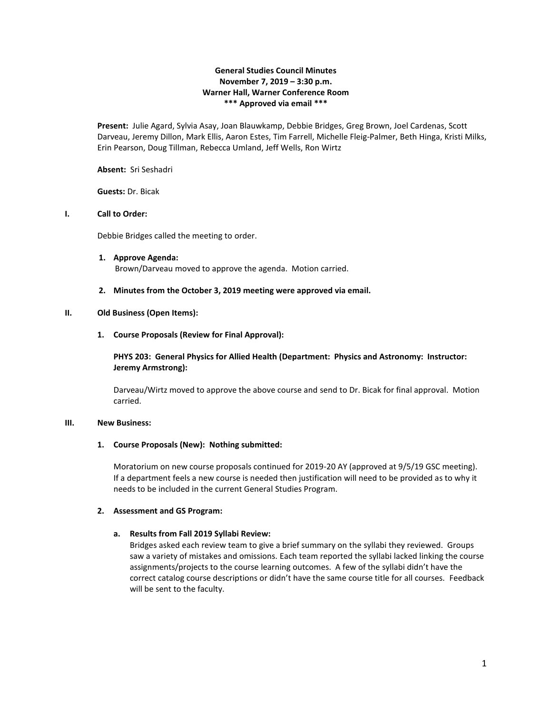## **General Studies Council Minutes November 7, 2019 – 3:30 p.m. Warner Hall, Warner Conference Room \*\*\* Approved via email \*\*\***

**Present:** Julie Agard, Sylvia Asay, Joan Blauwkamp, Debbie Bridges, Greg Brown, Joel Cardenas, Scott Darveau, Jeremy Dillon, Mark Ellis, Aaron Estes, Tim Farrell, Michelle Fleig-Palmer, Beth Hinga, Kristi Milks, Erin Pearson, Doug Tillman, Rebecca Umland, Jeff Wells, Ron Wirtz

**Absent:** Sri Seshadri

**Guests:** Dr. Bicak

### **I. Call to Order:**

Debbie Bridges called the meeting to order.

**1. Approve Agenda:** Brown/Darveau moved to approve the agenda. Motion carried.

### **2. Minutes from the October 3, 2019 meeting were approved via email.**

### **II. Old Business (Open Items):**

**1. Course Proposals (Review for Final Approval):**

**PHYS 203: General Physics for Allied Health (Department: Physics and Astronomy: Instructor: Jeremy Armstrong):**

Darveau/Wirtz moved to approve the above course and send to Dr. Bicak for final approval. Motion carried.

### **III. New Business:**

#### **1. Course Proposals (New): Nothing submitted:**

Moratorium on new course proposals continued for 2019-20 AY (approved at 9/5/19 GSC meeting). If a department feels a new course is needed then justification will need to be provided as to why it needs to be included in the current General Studies Program.

### **2. Assessment and GS Program:**

### **a. Results from Fall 2019 Syllabi Review:**

Bridges asked each review team to give a brief summary on the syllabi they reviewed. Groups saw a variety of mistakes and omissions. Each team reported the syllabi lacked linking the course assignments/projects to the course learning outcomes. A few of the syllabi didn't have the correct catalog course descriptions or didn't have the same course title for all courses. Feedback will be sent to the faculty.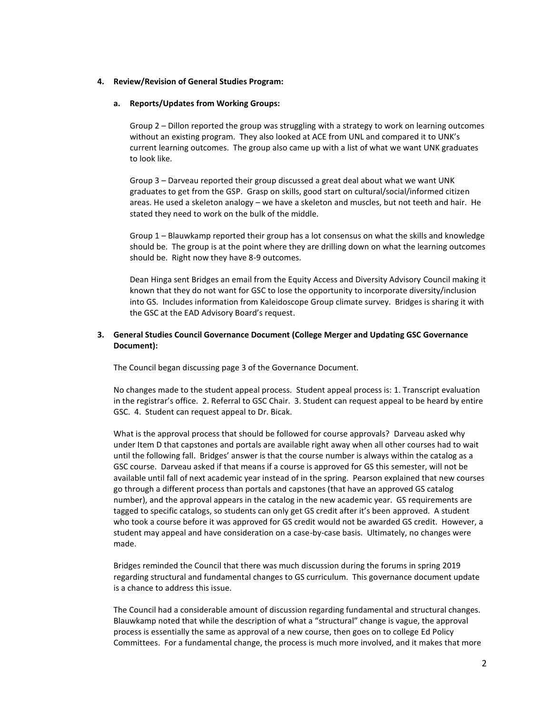### **4. Review/Revision of General Studies Program:**

### **a. Reports/Updates from Working Groups:**

Group 2 – Dillon reported the group was struggling with a strategy to work on learning outcomes without an existing program. They also looked at ACE from UNL and compared it to UNK's current learning outcomes. The group also came up with a list of what we want UNK graduates to look like.

Group 3 – Darveau reported their group discussed a great deal about what we want UNK graduates to get from the GSP. Grasp on skills, good start on cultural/social/informed citizen areas. He used a skeleton analogy – we have a skeleton and muscles, but not teeth and hair. He stated they need to work on the bulk of the middle.

Group 1 – Blauwkamp reported their group has a lot consensus on what the skills and knowledge should be. The group is at the point where they are drilling down on what the learning outcomes should be. Right now they have 8-9 outcomes.

Dean Hinga sent Bridges an email from the Equity Access and Diversity Advisory Council making it known that they do not want for GSC to lose the opportunity to incorporate diversity/inclusion into GS. Includes information from Kaleidoscope Group climate survey. Bridges is sharing it with the GSC at the EAD Advisory Board's request.

## **3. General Studies Council Governance Document (College Merger and Updating GSC Governance Document):**

The Council began discussing page 3 of the Governance Document.

No changes made to the student appeal process. Student appeal process is: 1. Transcript evaluation in the registrar's office. 2. Referral to GSC Chair. 3. Student can request appeal to be heard by entire GSC. 4. Student can request appeal to Dr. Bicak.

What is the approval process that should be followed for course approvals? Darveau asked why under Item D that capstones and portals are available right away when all other courses had to wait until the following fall. Bridges' answer is that the course number is always within the catalog as a GSC course. Darveau asked if that means if a course is approved for GS this semester, will not be available until fall of next academic year instead of in the spring. Pearson explained that new courses go through a different process than portals and capstones (that have an approved GS catalog number), and the approval appears in the catalog in the new academic year. GS requirements are tagged to specific catalogs, so students can only get GS credit after it's been approved. A student who took a course before it was approved for GS credit would not be awarded GS credit. However, a student may appeal and have consideration on a case-by-case basis. Ultimately, no changes were made.

Bridges reminded the Council that there was much discussion during the forums in spring 2019 regarding structural and fundamental changes to GS curriculum. This governance document update is a chance to address this issue.

The Council had a considerable amount of discussion regarding fundamental and structural changes. Blauwkamp noted that while the description of what a "structural" change is vague, the approval process is essentially the same as approval of a new course, then goes on to college Ed Policy Committees. For a fundamental change, the process is much more involved, and it makes that more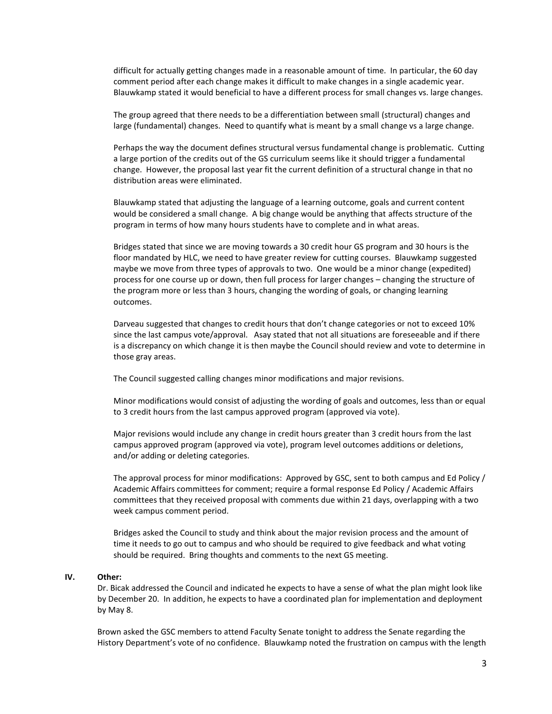difficult for actually getting changes made in a reasonable amount of time. In particular, the 60 day comment period after each change makes it difficult to make changes in a single academic year. Blauwkamp stated it would beneficial to have a different process for small changes vs. large changes.

The group agreed that there needs to be a differentiation between small (structural) changes and large (fundamental) changes. Need to quantify what is meant by a small change vs a large change.

Perhaps the way the document defines structural versus fundamental change is problematic. Cutting a large portion of the credits out of the GS curriculum seems like it should trigger a fundamental change. However, the proposal last year fit the current definition of a structural change in that no distribution areas were eliminated.

Blauwkamp stated that adjusting the language of a learning outcome, goals and current content would be considered a small change. A big change would be anything that affects structure of the program in terms of how many hours students have to complete and in what areas.

Bridges stated that since we are moving towards a 30 credit hour GS program and 30 hours is the floor mandated by HLC, we need to have greater review for cutting courses. Blauwkamp suggested maybe we move from three types of approvals to two. One would be a minor change (expedited) process for one course up or down, then full process for larger changes – changing the structure of the program more or less than 3 hours, changing the wording of goals, or changing learning outcomes.

Darveau suggested that changes to credit hours that don't change categories or not to exceed 10% since the last campus vote/approval. Asay stated that not all situations are foreseeable and if there is a discrepancy on which change it is then maybe the Council should review and vote to determine in those gray areas.

The Council suggested calling changes minor modifications and major revisions.

Minor modifications would consist of adjusting the wording of goals and outcomes, less than or equal to 3 credit hours from the last campus approved program (approved via vote).

Major revisions would include any change in credit hours greater than 3 credit hours from the last campus approved program (approved via vote), program level outcomes additions or deletions, and/or adding or deleting categories.

The approval process for minor modifications: Approved by GSC, sent to both campus and Ed Policy / Academic Affairs committees for comment; require a formal response Ed Policy / Academic Affairs committees that they received proposal with comments due within 21 days, overlapping with a two week campus comment period.

Bridges asked the Council to study and think about the major revision process and the amount of time it needs to go out to campus and who should be required to give feedback and what voting should be required. Bring thoughts and comments to the next GS meeting.

### **IV. Other:**

Dr. Bicak addressed the Council and indicated he expects to have a sense of what the plan might look like by December 20. In addition, he expects to have a coordinated plan for implementation and deployment by May 8.

Brown asked the GSC members to attend Faculty Senate tonight to address the Senate regarding the History Department's vote of no confidence. Blauwkamp noted the frustration on campus with the length